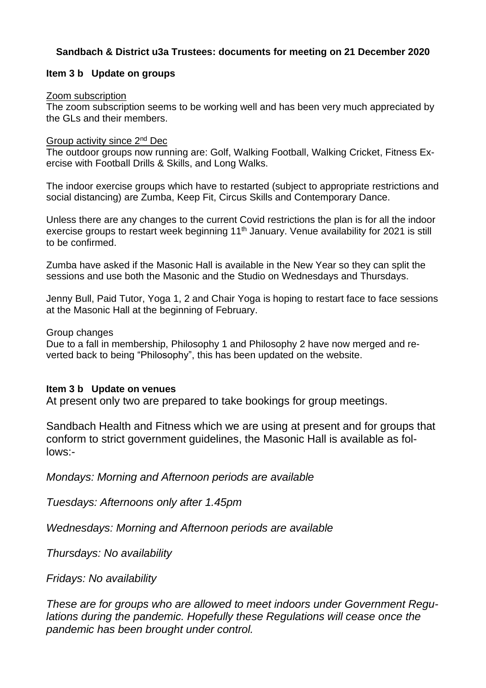## **Sandbach & District u3a Trustees: documents for meeting on 21 December 2020**

### **Item 3 b Update on groups**

#### Zoom subscription

The zoom subscription seems to be working well and has been very much appreciated by the GLs and their members.

### Group activity since 2<sup>nd</sup> Dec

The outdoor groups now running are: Golf, Walking Football, Walking Cricket, Fitness Exercise with Football Drills & Skills, and Long Walks.

The indoor exercise groups which have to restarted (subject to appropriate restrictions and social distancing) are Zumba, Keep Fit, Circus Skills and Contemporary Dance.

Unless there are any changes to the current Covid restrictions the plan is for all the indoor exercise groups to restart week beginning  $11<sup>th</sup>$  January. Venue availability for 2021 is still to be confirmed.

Zumba have asked if the Masonic Hall is available in the New Year so they can split the sessions and use both the Masonic and the Studio on Wednesdays and Thursdays.

Jenny Bull, Paid Tutor, Yoga 1, 2 and Chair Yoga is hoping to restart face to face sessions at the Masonic Hall at the beginning of February.

Group changes

Due to a fall in membership, Philosophy 1 and Philosophy 2 have now merged and reverted back to being "Philosophy", this has been updated on the website.

#### **Item 3 b Update on venues**

At present only two are prepared to take bookings for group meetings.

Sandbach Health and Fitness which we are using at present and for groups that conform to strict government guidelines, the Masonic Hall is available as follows:-

*Mondays: Morning and Afternoon periods are available*

*Tuesdays: Afternoons only after 1.45pm*

*Wednesdays: Morning and Afternoon periods are available*

*Thursdays: No availability*

*Fridays: No availability*

*These are for groups who are allowed to meet indoors under Government Regulations during the pandemic. Hopefully these Regulations will cease once the pandemic has been brought under control.*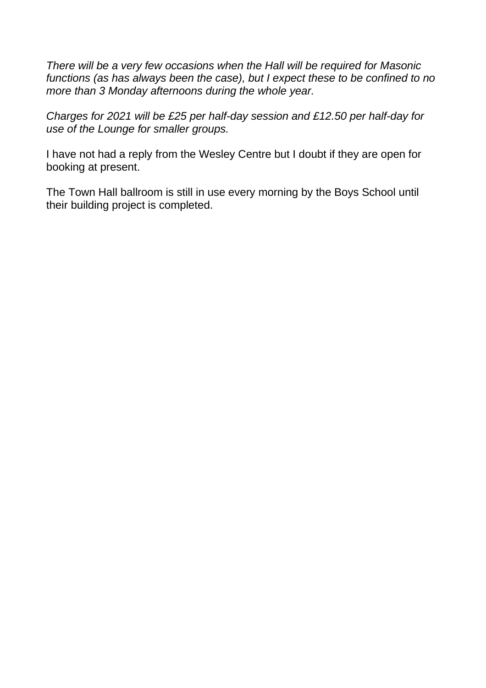*There will be a very few occasions when the Hall will be required for Masonic functions (as has always been the case), but I expect these to be confined to no more than 3 Monday afternoons during the whole year.*

*Charges for 2021 will be £25 per half-day session and £12.50 per half-day for use of the Lounge for smaller groups.*

I have not had a reply from the Wesley Centre but I doubt if they are open for booking at present.

The Town Hall ballroom is still in use every morning by the Boys School until their building project is completed.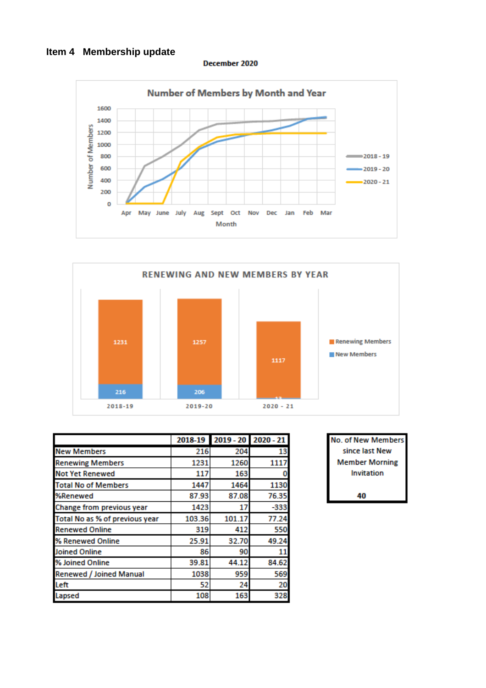# **Item 4 Membership update**

December 2020





|                                |        | 2018-19 2019 - 20 2020 - 21 |        |
|--------------------------------|--------|-----------------------------|--------|
| <b>New Members</b>             | 216    | 204                         | 13     |
| <b>Renewing Members</b>        | 1231   | 1260                        | 1117   |
| <b>Not Yet Renewed</b>         | 117    | 163                         |        |
| <b>Total No of Members</b>     | 1447   | 1464                        | 1130   |
| %Renewed                       | 87.93  | 87.08                       | 76.35  |
| Change from previous year      | 1423   | 17                          | $-333$ |
| Total No as % of previous year | 103.36 | 101.17                      | 77.24  |
| <b>Renewed Online</b>          | 319    | 412                         | 550    |
| % Renewed Online               | 25.91  | 32.70                       | 49.24  |
| <b>Joined Online</b>           | 86     | 90                          | 11     |
| % Joined Online                | 39.81  | 44.12                       | 84.62  |
| Renewed / Joined Manual        | 1038   | 959                         | 569    |
| Left                           | 52     | 24                          | 20     |
| Lapsed                         | 108    | 163                         | 328    |

| No. of New Members    |
|-----------------------|
| since last New        |
| <b>Member Morning</b> |
| Invitation            |
|                       |
|                       |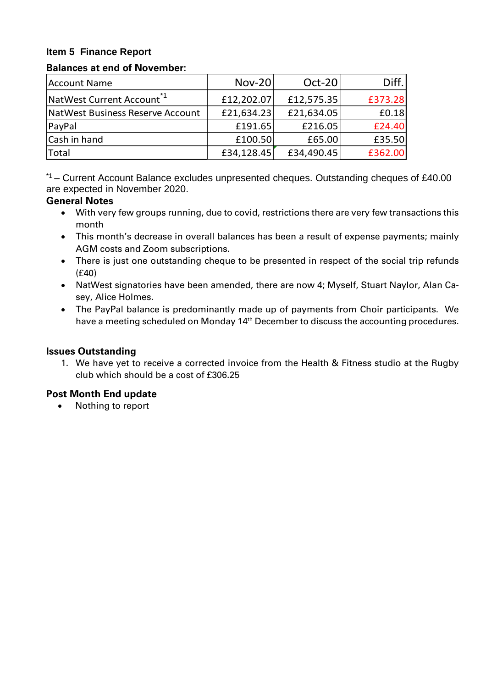## **Item 5 Finance Report**

#### **Balances at end of November:**

| Account Name                          | <b>Nov-20</b> | $Oct-20$   | Diff.   |
|---------------------------------------|---------------|------------|---------|
| NatWest Current Account <sup>*1</sup> | £12,202.07    | £12,575.35 | £373.28 |
| NatWest Business Reserve Account      | £21,634.23    | £21,634.05 | £0.18   |
| PayPal                                | £191.65       | £216.05    | £24.40  |
| Cash in hand                          | £100.50       | £65.00     | £35.50  |
| Total                                 | £34,128.45    | £34,490.45 | £362.00 |

\*1 – Current Account Balance excludes unpresented cheques. Outstanding cheques of £40.00 are expected in November 2020.

#### **General Notes**

- With very few groups running, due to covid, restrictions there are very few transactions this month
- This month's decrease in overall balances has been a result of expense payments; mainly AGM costs and Zoom subscriptions.
- There is just one outstanding cheque to be presented in respect of the social trip refunds (£40)
- NatWest signatories have been amended, there are now 4; Myself, Stuart Naylor, Alan Casey, Alice Holmes.
- The PayPal balance is predominantly made up of payments from Choir participants. We have a meeting scheduled on Monday 14<sup>th</sup> December to discuss the accounting procedures.

#### **Issues Outstanding**

1. We have yet to receive a corrected invoice from the Health & Fitness studio at the Rugby club which should be a cost of £306.25

## **Post Month End update**

• Nothing to report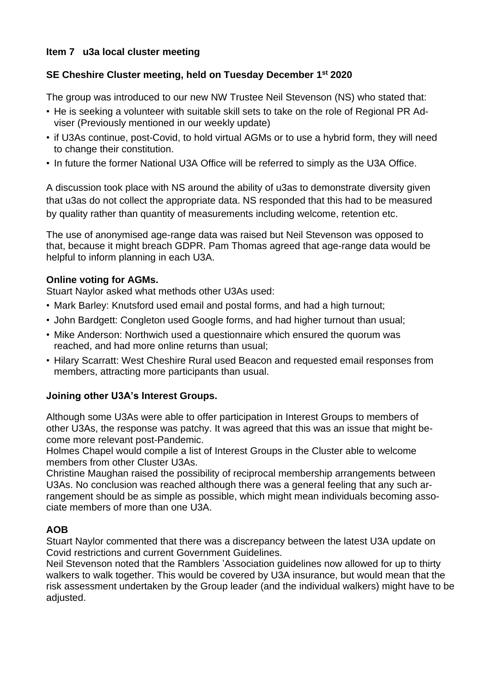## **Item 7 u3a local cluster meeting**

# **SE Cheshire Cluster meeting, held on Tuesday December 1 st 2020**

The group was introduced to our new NW Trustee Neil Stevenson (NS) who stated that:

- He is seeking a volunteer with suitable skill sets to take on the role of Regional PR Adviser (Previously mentioned in our weekly update)
- if U3As continue, post-Covid, to hold virtual AGMs or to use a hybrid form, they will need to change their constitution.
- In future the former National U3A Office will be referred to simply as the U3A Office.

A discussion took place with NS around the ability of u3as to demonstrate diversity given that u3as do not collect the appropriate data. NS responded that this had to be measured by quality rather than quantity of measurements including welcome, retention etc.

The use of anonymised age-range data was raised but Neil Stevenson was opposed to that, because it might breach GDPR. Pam Thomas agreed that age-range data would be helpful to inform planning in each U3A.

## **Online voting for AGMs.**

Stuart Naylor asked what methods other U3As used:

- Mark Barley: Knutsford used email and postal forms, and had a high turnout;
- John Bardgett: Congleton used Google forms, and had higher turnout than usual;
- Mike Anderson: Northwich used a questionnaire which ensured the quorum was reached, and had more online returns than usual;
- Hilary Scarratt: West Cheshire Rural used Beacon and requested email responses from members, attracting more participants than usual.

## **Joining other U3A's Interest Groups.**

Although some U3As were able to offer participation in Interest Groups to members of other U3As, the response was patchy. It was agreed that this was an issue that might become more relevant post-Pandemic.

Holmes Chapel would compile a list of Interest Groups in the Cluster able to welcome members from other Cluster U3As.

Christine Maughan raised the possibility of reciprocal membership arrangements between U3As. No conclusion was reached although there was a general feeling that any such arrangement should be as simple as possible, which might mean individuals becoming associate members of more than one U3A.

## **AOB**

Stuart Naylor commented that there was a discrepancy between the latest U3A update on Covid restrictions and current Government Guidelines.

Neil Stevenson noted that the Ramblers 'Association guidelines now allowed for up to thirty walkers to walk together. This would be covered by U3A insurance, but would mean that the risk assessment undertaken by the Group leader (and the individual walkers) might have to be adjusted.